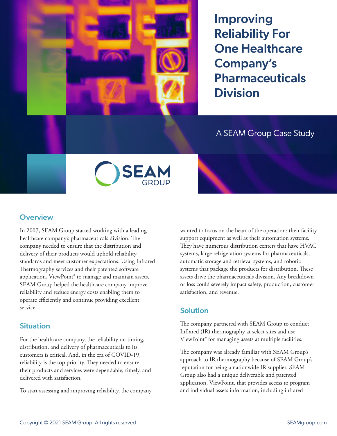

Improving Reliability For One Healthcare Company's **Pharmaceuticals** Division

# A SEAM Group Case Study



### **Overview**

In 2007, SEAM Group started working with a leading healthcare company's pharmaceuticals division. The company needed to ensure that the distribution and delivery of their products would uphold reliability standards and meet customer expectations. Using Infrared Thermography services and their patented software application, ViewPoint® to manage and maintain assets, SEAM Group helped the healthcare company improve reliability and reduce energy costs enabling them to operate efficiently and continue providing excellent service.

#### Situation

For the healthcare company, the reliability on timing, distribution, and delivery of pharmaceuticals to its customers is critical. And, in the era of COVID-19, reliability is the top priority. They needed to ensure their products and services were dependable, timely, and delivered with satisfaction.

To start assessing and improving reliability, the company

wanted to focus on the heart of the operation: their facility support equipment as well as their automation systems. They have numerous distribution centers that have HVAC systems, large refrigeration systems for pharmaceuticals, automatic storage and retrieval systems, and robotic systems that package the products for distribution. These assets drive the pharmaceuticals division. Any breakdown or loss could severely impact safety, production, customer satisfaction, and revenue.

#### Solution

The company partnered with SEAM Group to conduct Infrared (IR) thermography at select sites and use ViewPoint® for managing assets at multiple facilities.

The company was already familiar with SEAM Group's approach to IR thermography because of SEAM Group's reputation for being a nationwide IR supplier. SEAM Group also had a unique deliverable and patented application, ViewPoint, that provides access to program and individual assets information, including infrared